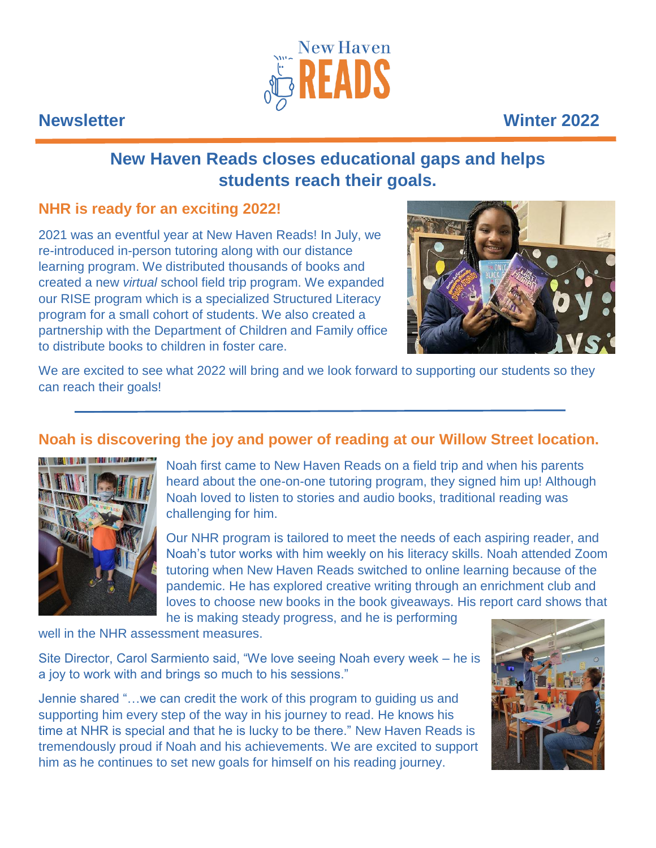

# **Newsletter Winter 2022**

# **New Haven Reads closes educational gaps and helps students reach their goals.**

## **NHR is ready for an exciting 2022!**

2021 was an eventful year at New Haven Reads! In July, we re-introduced in-person tutoring along with our distance learning program. We distributed thousands of books and created a new *virtual* school field trip program. We expanded our RISE program which is a specialized Structured Literacy program for a small cohort of students. We also created a partnership with the Department of Children and Family office to distribute books to children in foster care.



We are excited to see what 2022 will bring and we look forward to supporting our students so they can reach their goals!

# **Noah is discovering the joy and power of reading at our Willow Street location.**



Noah first came to New Haven Reads on a field trip and when his parents heard about the one-on-one tutoring program, they signed him up! Although Noah loved to listen to stories and audio books, traditional reading was challenging for him.

Our NHR program is tailored to meet the needs of each aspiring reader, and Noah's tutor works with him weekly on his literacy skills. Noah attended Zoom tutoring when New Haven Reads switched to online learning because of the pandemic. He has explored creative writing through an enrichment club and loves to choose new books in the book giveaways. His report card shows that he is making steady progress, and he is performing

well in the NHR assessment measures.

Site Director, Carol Sarmiento said, "We love seeing Noah every week – he is a joy to work with and brings so much to his sessions."

Jennie shared "…we can credit the work of this program to guiding us and supporting him every step of the way in his journey to read. He knows his time at NHR is special and that he is lucky to be there." New Haven Reads is tremendously proud if Noah and his achievements. We are excited to support him as he continues to set new goals for himself on his reading journey.

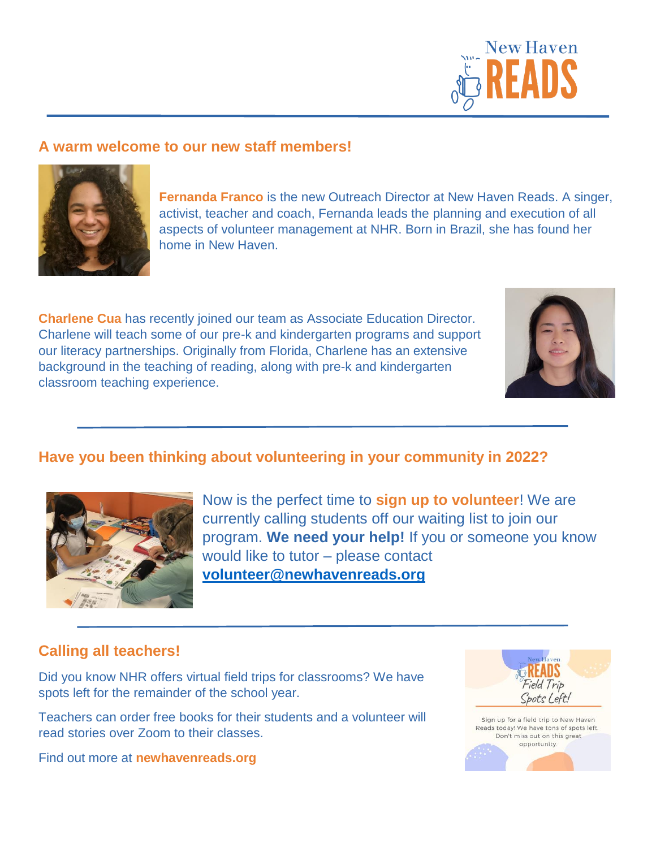

#### **A warm welcome to our new staff members!**



**Fernanda Franco** is the new Outreach Director at New Haven Reads. A singer, activist, teacher and coach, Fernanda leads the planning and execution of all aspects of volunteer management at NHR. Born in Brazil, she has found her home in New Haven.

**Charlene Cua** has recently joined our team as Associate Education Director. Charlene will teach some of our pre-k and kindergarten programs and support our literacy partnerships. Originally from Florida, Charlene has an extensive background in the teaching of reading, along with pre-k and kindergarten classroom teaching experience.



## **Have you been thinking about volunteering in your community in 2022?**



Now is the perfect time to **sign up to volunteer**! We are currently calling students off our waiting list to join our program. **We need your help!** If you or someone you know would like to tutor – please contact **volunteer@newhavenreads.org**

#### **Calling all teachers!**

Did you know NHR offers virtual field trips for classrooms? We have spots left for the remainder of the school year.

Teachers can order free books for their students and a volunteer will read stories over Zoom to their classes.

Find out more at **newhavenreads.org**

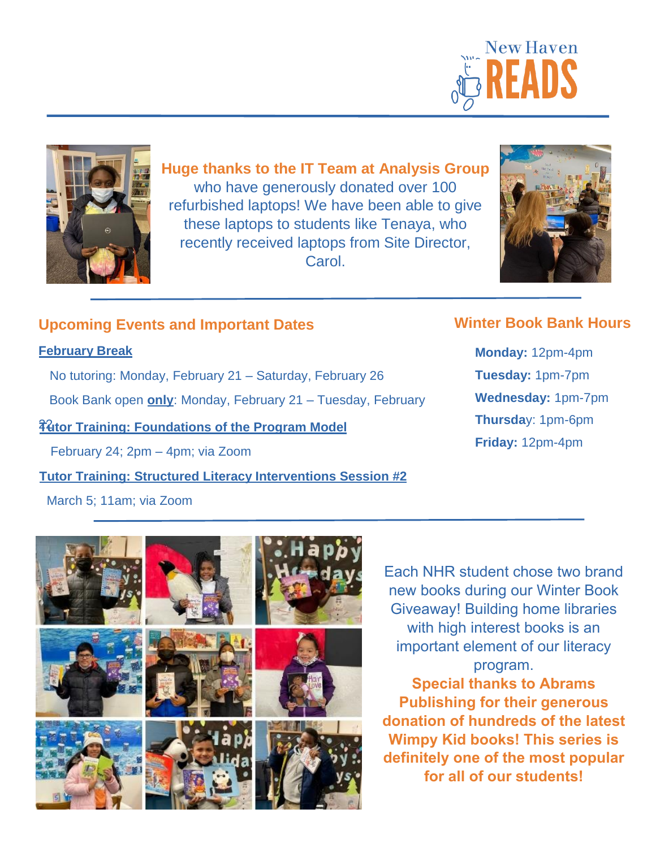



**Huge thanks to the IT Team at Analysis Group** who have generously donated over 100 refurbished laptops! We have been able to give these laptops to students like Tenaya, who recently received laptops from Site Director, **Carol** 



### **Upcoming Events and Important Dates**

#### **February Break**

No tutoring: Monday, February 21 – Saturday, February 26

Book Bank open **only**: Monday, February 21 – Tuesday, February

**74 Training: Foundations of the Program Model** 

February 24; 2pm – 4pm; via Zoom

**Tutor Training: Structured Literacy Interventions Session #2**

#### March 5; 11am; via Zoom



Each NHR student chose two brand new books during our Winter Book Giveaway! Building home libraries with high interest books is an important element of our literacy program. **Special thanks to Abrams** 

**Publishing for their generous donation of hundreds of the latest Wimpy Kid books! This series is definitely one of the most popular for all of our students!**

# **Winter Book Bank Hours**

**Monday:** 12pm-4pm **Tuesday:** 1pm-7pm **Wednesday:** 1pm-7pm **Thursda**y: 1pm-6pm **Friday:** 12pm-4pm